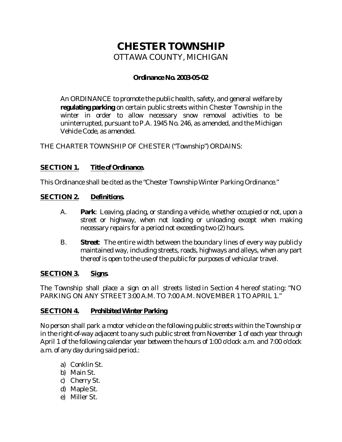# **CHESTER TOWNSHIP** OTTAWA COUNTY, MICHIGAN

## **Ordinance No. 2003-05-02**

An ORDINANCE to promote the public health, safety, and general welfare by **regulating parking** on certain public streets within Chester Township in the winter in order to allow necessary snow removal activities to be uninterrupted, pursuant to P.A. 1945 No. 246, as amended, and the Michigan Vehicle Code, as amended.

THE CHARTER TOWNSHIP OF CHESTER ("Township") ORDAINS:

#### **SECTION 1. Title of Ordinance.**

This Ordinance shall be cited as the "Chester Township Winter Parking Ordinance."

## **SECTION 2. Definitions.**

- A. **Park**: Leaving, placing, or standing a vehicle, whether occupied or not, upon a street or highway, when not loading or unloading except when making necessary repairs for a period not exceeding two (2) hours.
- B. **Street**: The entire width between the boundary lines of every way publicly maintained way, including streets, roads, highways and alleys, when any part thereof is open to the use of the public for purposes of vehicular travel.

#### **SECTION 3. Signs.**

The Township shall place a sign on all streets listed in Section 4 hereof stating: "NO PARKING ON ANY STREET 3:00 A.M. TO 7:00 A.M. NOVEMBER 1 TO APRIL1."

# **SECTION 4. Prohibited Winter Parking**

No person shall park a motor vehicle on the following public streets within the Township or in the right-of-way adjacent to any such public street from November 1 of each year through April 1 of the following calendar year between the hours of 1:00 o'clock a.m. and 7:00 o'clock a.m. of any day during said period.:

- a) Conklin St.
- b) Main St.
- c) Cherry St.
- d) Maple St.
- e) Miller St.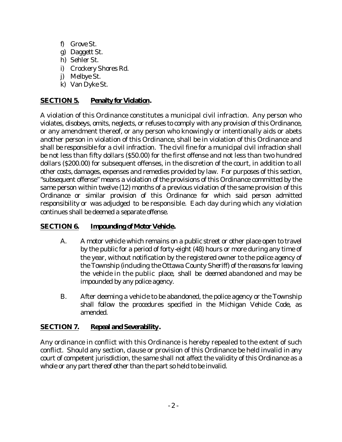- f) Grove St.
- g) Daggett St.
- h) Sehler St.
- i) Crockery Shores Rd.
- j) Melbye St.
- k) Van Dyke St.

# **SECTION 5. Penalty for Violation.**

A violation of this Ordinance constitutes a municipal civil infraction. Any person who violates, disobeys, omits, neglects, or refuses to comply with any provision of this Ordinance, or any amendment thereof, or any person who knowingly or intentionally aids or abets another person in violation of this Ordinance, shall be in violation of this Ordinance and shall be responsible for a civil infraction. The civil fine for a municipal civil infraction shall be not less than fifty dollars (\$50.00) for the first offense and not less than two hundred dollars (\$200.00) for subsequent offenses, in the discretion of the court, in addition to all other costs, damages, expenses and remedies provided by law. For purposes of this section, "subsequent offense" means a violation of the provisions of this Ordinance committed by the same person within twelve (12) months of a previous violation of the same provision of this Ordinance or similar provision of this Ordinance for which said person admitted responsibility or was adjudged to be responsible. Each day during which any violation continues shall be deemed a separate offense.

#### **SECTION 6. Impounding of Motor Vehicle.**

- A. A motor vehicle which remains on a public street or other place open to travel by the public for a period of forty-eight (48) hours or more during any time of the year, without notification by the registered owner to the police agency of the Township (including the Ottawa County Sheriff) of the reasons for leaving the vehicle in the public place, shall be deemed abandoned and may be impounded by any police agency.
- B. After deeming a vehicle to be abandoned, the police agency or the Township shall follow the procedures specified in the Michigan Vehicle Code, as amended.

# **SECTION 7. Repeal and Severability.**

Any ordinance in conflict with this Ordinance is hereby repealed to the extent of such conflict. Should any section, clause or provision of this Ordinance be held invalid in any court of competent jurisdiction, the same shall not affect the validity of this Ordinance as a whole or any part thereof other than the part so held to be invalid.